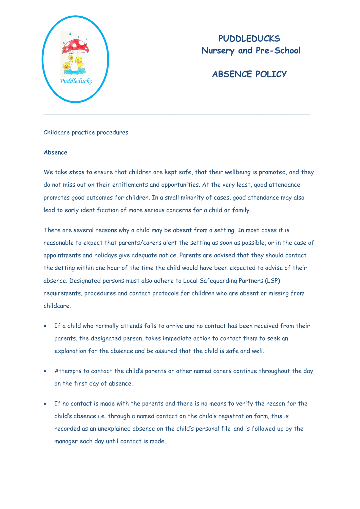

# **PUDDLEDUCKS Nursery and Pre-School**

# **ABSENCE POLICY**

## Childcare practice procedures

#### **Absence**

We take steps to ensure that children are kept safe, that their wellbeing is promoted, and they do not miss out on their entitlements and opportunities. At the very least, good attendance promotes good outcomes for children. In a small minority of cases, good attendance may also lead to early identification of more serious concerns for a child or family.

There are several reasons why a child may be absent from a setting. In most cases it is reasonable to expect that parents/carers alert the setting as soon as possible, or in the case of appointments and holidays give adequate notice. Parents are advised that they should contact the setting within one hour of the time the child would have been expected to advise of their absence. Designated persons must also adhere to Local Safeguarding Partners (LSP) requirements, procedures and contact protocols for children who are absent or missing from childcare.

- If a child who normally attends fails to arrive and no contact has been received from their parents, the designated person, takes immediate action to contact them to seek an explanation for the absence and be assured that the child is safe and well.
- Attempts to contact the child's parents or other named carers continue throughout the day on the first day of absence.
- If no contact is made with the parents and there is no means to verify the reason for the child's absence i.e. through a named contact on the child's registration form, this is recorded as an unexplained absence on the child's personal file and is followed up by the manager each day until contact is made.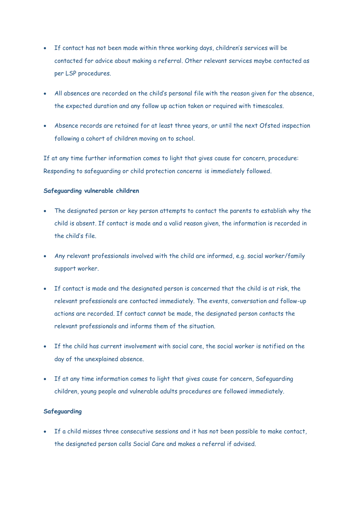- If contact has not been made within three working days, children's services will be contacted for advice about making a referral. Other relevant services maybe contacted as per LSP procedures.
- All absences are recorded on the child's personal file with the reason given for the absence, the expected duration and any follow up action taken or required with timescales.
- Absence records are retained for at least three years, or until the next Ofsted inspection following a cohort of children moving on to school.

If at any time further information comes to light that gives cause for concern, procedure: Responding to safeguarding or child protection concerns is immediately followed.

## **Safeguarding vulnerable children**

- The designated person or key person attempts to contact the parents to establish why the child is absent. If contact is made and a valid reason given, the information is recorded in the child's file.
- Any relevant professionals involved with the child are informed, e.g. social worker/family support worker.
- If contact is made and the designated person is concerned that the child is at risk, the relevant professionals are contacted immediately. The events, conversation and follow-up actions are recorded. If contact cannot be made, the designated person contacts the relevant professionals and informs them of the situation.
- If the child has current involvement with social care, the social worker is notified on the day of the unexplained absence.
- If at any time information comes to light that gives cause for concern, Safeguarding children, young people and vulnerable adults procedures are followed immediately.

## **Safeguarding**

 If a child misses three consecutive sessions and it has not been possible to make contact, the designated person calls Social Care and makes a referral if advised.